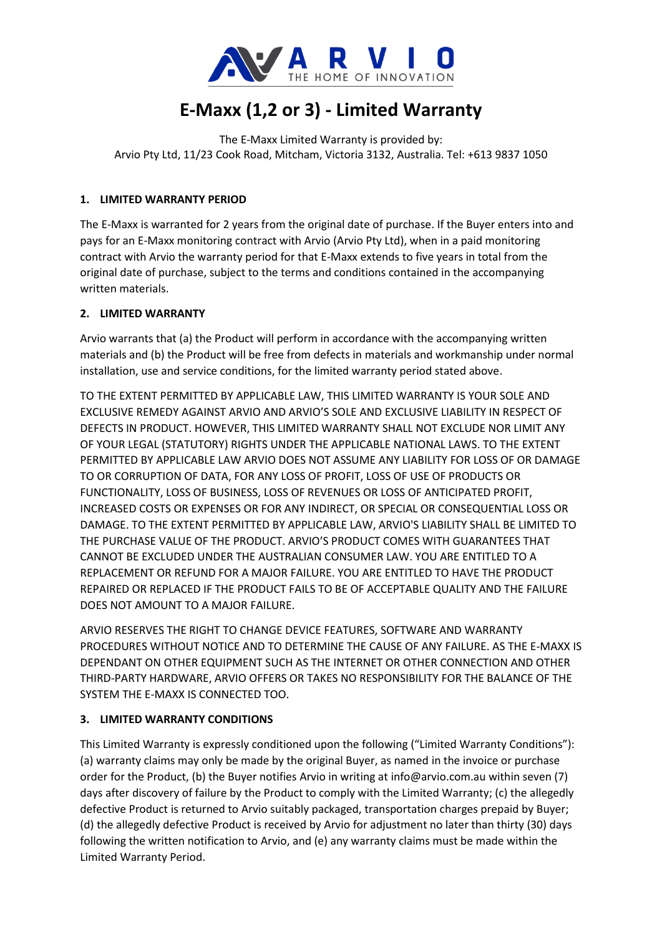

# **E-Maxx (1,2 or 3) - Limited Warranty**

The E-Maxx Limited Warranty is provided by: Arvio Pty Ltd, 11/23 Cook Road, Mitcham, Victoria 3132, Australia. Tel: +613 9837 1050

## **1. LIMITED WARRANTY PERIOD**

The E-Maxx is warranted for 2 years from the original date of purchase. If the Buyer enters into and pays for an E-Maxx monitoring contract with Arvio (Arvio Pty Ltd), when in a paid monitoring contract with Arvio the warranty period for that E-Maxx extends to five years in total from the original date of purchase, subject to the terms and conditions contained in the accompanying written materials.

### **2. LIMITED WARRANTY**

Arvio warrants that (a) the Product will perform in accordance with the accompanying written materials and (b) the Product will be free from defects in materials and workmanship under normal installation, use and service conditions, for the limited warranty period stated above.

TO THE EXTENT PERMITTED BY APPLICABLE LAW, THIS LIMITED WARRANTY IS YOUR SOLE AND EXCLUSIVE REMEDY AGAINST ARVIO AND ARVIO'S SOLE AND EXCLUSIVE LIABILITY IN RESPECT OF DEFECTS IN PRODUCT. HOWEVER, THIS LIMITED WARRANTY SHALL NOT EXCLUDE NOR LIMIT ANY OF YOUR LEGAL (STATUTORY) RIGHTS UNDER THE APPLICABLE NATIONAL LAWS. TO THE EXTENT PERMITTED BY APPLICABLE LAW ARVIO DOES NOT ASSUME ANY LIABILITY FOR LOSS OF OR DAMAGE TO OR CORRUPTION OF DATA, FOR ANY LOSS OF PROFIT, LOSS OF USE OF PRODUCTS OR FUNCTIONALITY, LOSS OF BUSINESS, LOSS OF REVENUES OR LOSS OF ANTICIPATED PROFIT, INCREASED COSTS OR EXPENSES OR FOR ANY INDIRECT, OR SPECIAL OR CONSEQUENTIAL LOSS OR DAMAGE. TO THE EXTENT PERMITTED BY APPLICABLE LAW, ARVIO'S LIABILITY SHALL BE LIMITED TO THE PURCHASE VALUE OF THE PRODUCT. ARVIO'S PRODUCT COMES WITH GUARANTEES THAT CANNOT BE EXCLUDED UNDER THE AUSTRALIAN CONSUMER LAW. YOU ARE ENTITLED TO A REPLACEMENT OR REFUND FOR A MAJOR FAILURE. YOU ARE ENTITLED TO HAVE THE PRODUCT REPAIRED OR REPLACED IF THE PRODUCT FAILS TO BE OF ACCEPTABLE QUALITY AND THE FAILURE DOES NOT AMOUNT TO A MAJOR FAILURE.

ARVIO RESERVES THE RIGHT TO CHANGE DEVICE FEATURES, SOFTWARE AND WARRANTY PROCEDURES WITHOUT NOTICE AND TO DETERMINE THE CAUSE OF ANY FAILURE. AS THE E-MAXX IS DEPENDANT ON OTHER EQUIPMENT SUCH AS THE INTERNET OR OTHER CONNECTION AND OTHER THIRD-PARTY HARDWARE, ARVIO OFFERS OR TAKES NO RESPONSIBILITY FOR THE BALANCE OF THE SYSTEM THE E-MAXX IS CONNECTED TOO.

## **3. LIMITED WARRANTY CONDITIONS**

This Limited Warranty is expressly conditioned upon the following ("Limited Warranty Conditions"): (a) warranty claims may only be made by the original Buyer, as named in the invoice or purchase order for the Product, (b) the Buyer notifies Arvio in writing at info@arvio.com.au within seven (7) days after discovery of failure by the Product to comply with the Limited Warranty; (c) the allegedly defective Product is returned to Arvio suitably packaged, transportation charges prepaid by Buyer; (d) the allegedly defective Product is received by Arvio for adjustment no later than thirty (30) days following the written notification to Arvio, and (e) any warranty claims must be made within the Limited Warranty Period.